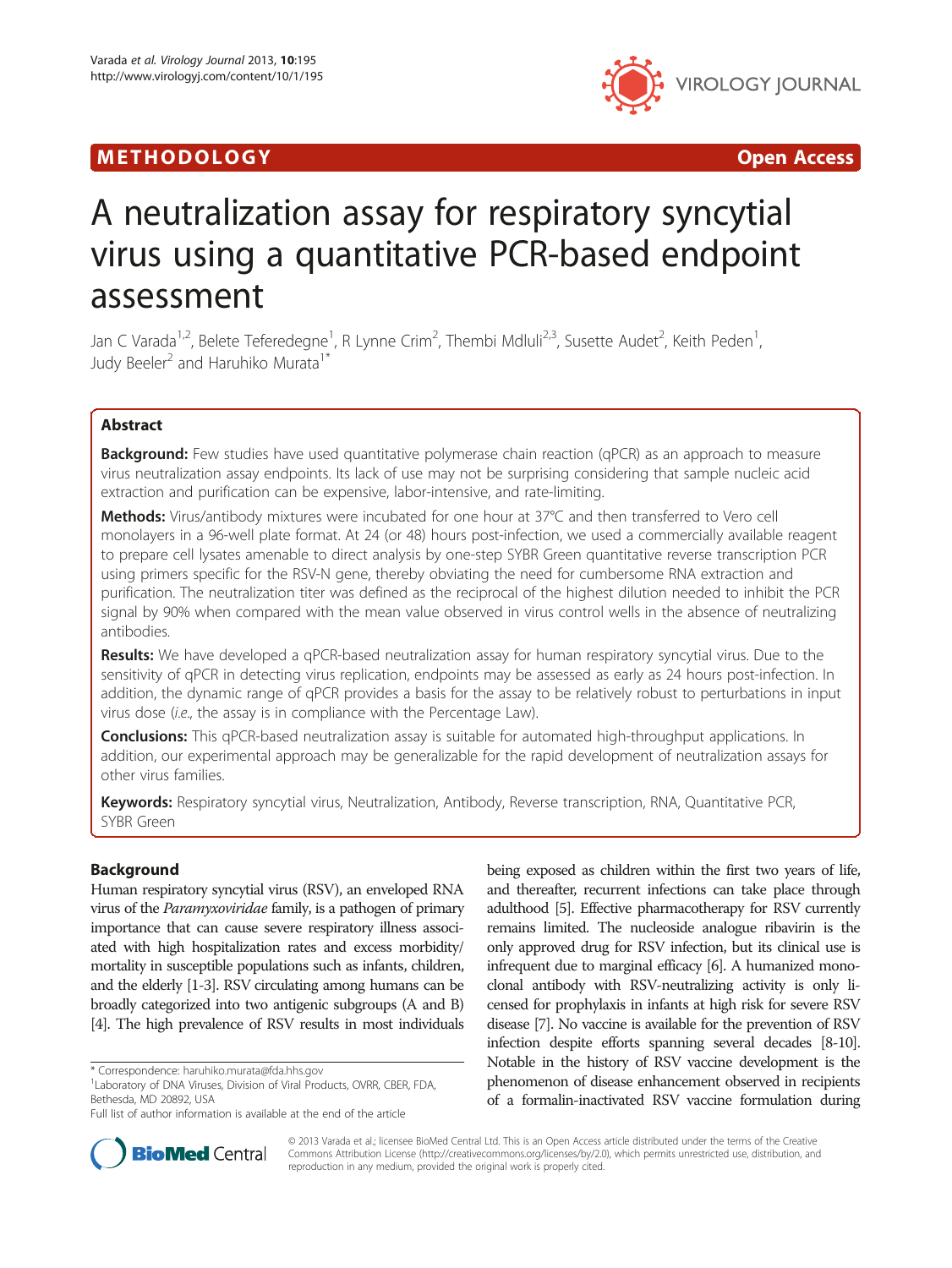## METHODOLOGY CONTROLLER CONTROLLER CONTROLLER CONTROLLER CONTROLLER CONTROLLER CONTROLLER CONTROLLER CONTROLLER



# A neutralization assay for respiratory syncytial virus using a quantitative PCR-based endpoint assessment

Jan C Varada<sup>1,2</sup>, Belete Teferedegne<sup>1</sup>, R Lynne Crim<sup>2</sup>, Thembi Mdluli<sup>2,3</sup>, Susette Audet<sup>2</sup>, Keith Peden<sup>1</sup> , Judy Beeler<sup>2</sup> and Haruhiko Murata<sup>1\*</sup>

## Abstract

**Background:** Few studies have used quantitative polymerase chain reaction (qPCR) as an approach to measure virus neutralization assay endpoints. Its lack of use may not be surprising considering that sample nucleic acid extraction and purification can be expensive, labor-intensive, and rate-limiting.

Methods: Virus/antibody mixtures were incubated for one hour at 37°C and then transferred to Vero cell monolayers in a 96-well plate format. At 24 (or 48) hours post-infection, we used a commercially available reagent to prepare cell lysates amenable to direct analysis by one-step SYBR Green quantitative reverse transcription PCR using primers specific for the RSV-N gene, thereby obviating the need for cumbersome RNA extraction and purification. The neutralization titer was defined as the reciprocal of the highest dilution needed to inhibit the PCR signal by 90% when compared with the mean value observed in virus control wells in the absence of neutralizing antibodies.

Results: We have developed a qPCR-based neutralization assay for human respiratory syncytial virus. Due to the sensitivity of qPCR in detecting virus replication, endpoints may be assessed as early as 24 hours post-infection. In addition, the dynamic range of qPCR provides a basis for the assay to be relatively robust to perturbations in input virus dose (i.e., the assay is in compliance with the Percentage Law).

**Conclusions:** This qPCR-based neutralization assay is suitable for automated high-throughput applications. In addition, our experimental approach may be generalizable for the rapid development of neutralization assays for other virus families.

Keywords: Respiratory syncytial virus, Neutralization, Antibody, Reverse transcription, RNA, Quantitative PCR, SYBR Green

## Background

Human respiratory syncytial virus (RSV), an enveloped RNA virus of the Paramyxoviridae family, is a pathogen of primary importance that can cause severe respiratory illness associated with high hospitalization rates and excess morbidity/ mortality in susceptible populations such as infants, children, and the elderly [\[1](#page-10-0)-[3](#page-10-0)]. RSV circulating among humans can be broadly categorized into two antigenic subgroups (A and B) [[4](#page-10-0)]. The high prevalence of RSV results in most individuals

being exposed as children within the first two years of life, and thereafter, recurrent infections can take place through adulthood [\[5\]](#page-10-0). Effective pharmacotherapy for RSV currently remains limited. The nucleoside analogue ribavirin is the only approved drug for RSV infection, but its clinical use is infrequent due to marginal efficacy [\[6\]](#page-10-0). A humanized monoclonal antibody with RSV-neutralizing activity is only licensed for prophylaxis in infants at high risk for severe RSV disease [\[7\]](#page-10-0). No vaccine is available for the prevention of RSV infection despite efforts spanning several decades [\[8-10\]](#page-10-0). Notable in the history of RSV vaccine development is the phenomenon of disease enhancement observed in recipients of a formalin-inactivated RSV vaccine formulation during



© 2013 Varada et al.; licensee BioMed Central Ltd. This is an Open Access article distributed under the terms of the Creative Commons Attribution License [\(http://creativecommons.org/licenses/by/2.0\)](http://creativecommons.org/licenses/by/2.0), which permits unrestricted use, distribution, and reproduction in any medium, provided the original work is properly cited.

<sup>\*</sup> Correspondence: [haruhiko.murata@fda.hhs.gov](mailto:haruhiko.murata@fda.hhs.gov) <sup>1</sup>

Laboratory of DNA Viruses, Division of Viral Products, OVRR, CBER, FDA, Bethesda, MD 20892, USA

Full list of author information is available at the end of the article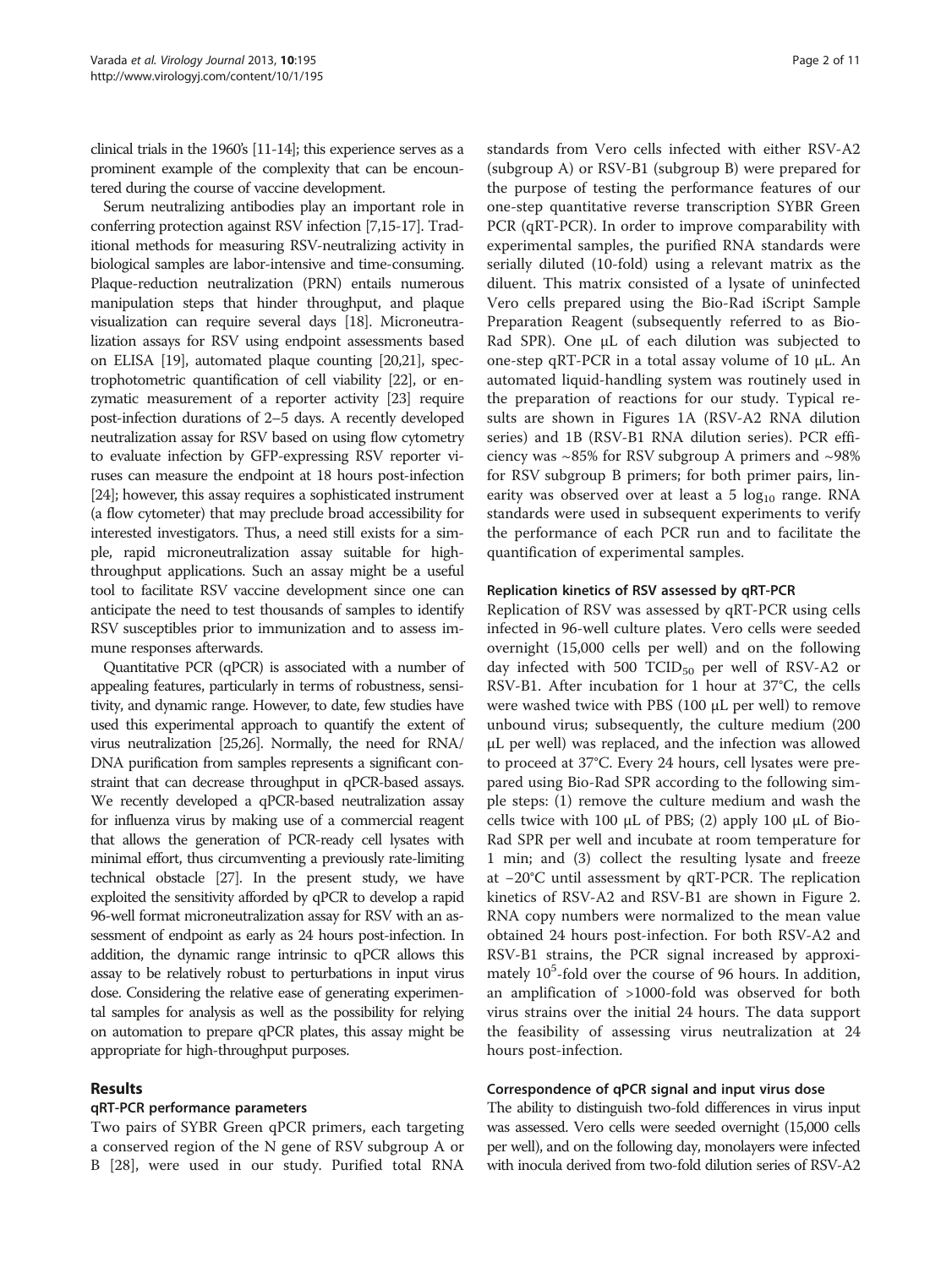clinical trials in the 1960's [[11-14](#page-10-0)]; this experience serves as a prominent example of the complexity that can be encountered during the course of vaccine development.

Serum neutralizing antibodies play an important role in conferring protection against RSV infection [[7,15-17](#page-10-0)]. Traditional methods for measuring RSV-neutralizing activity in biological samples are labor-intensive and time-consuming. Plaque-reduction neutralization (PRN) entails numerous manipulation steps that hinder throughput, and plaque visualization can require several days [\[18\]](#page-10-0). Microneutralization assays for RSV using endpoint assessments based on ELISA [[19\]](#page-10-0), automated plaque counting [\[20,21\]](#page-10-0), spectrophotometric quantification of cell viability [\[22](#page-10-0)], or enzymatic measurement of a reporter activity [\[23](#page-10-0)] require post-infection durations of 2–5 days. A recently developed neutralization assay for RSV based on using flow cytometry to evaluate infection by GFP-expressing RSV reporter viruses can measure the endpoint at 18 hours post-infection [[24](#page-10-0)]; however, this assay requires a sophisticated instrument (a flow cytometer) that may preclude broad accessibility for interested investigators. Thus, a need still exists for a simple, rapid microneutralization assay suitable for highthroughput applications. Such an assay might be a useful tool to facilitate RSV vaccine development since one can anticipate the need to test thousands of samples to identify RSV susceptibles prior to immunization and to assess immune responses afterwards.

Quantitative PCR (qPCR) is associated with a number of appealing features, particularly in terms of robustness, sensitivity, and dynamic range. However, to date, few studies have used this experimental approach to quantify the extent of virus neutralization [\[25,26](#page-10-0)]. Normally, the need for RNA/ DNA purification from samples represents a significant constraint that can decrease throughput in qPCR-based assays. We recently developed a qPCR-based neutralization assay for influenza virus by making use of a commercial reagent that allows the generation of PCR-ready cell lysates with minimal effort, thus circumventing a previously rate-limiting technical obstacle [[27\]](#page-10-0). In the present study, we have exploited the sensitivity afforded by qPCR to develop a rapid 96-well format microneutralization assay for RSV with an assessment of endpoint as early as 24 hours post-infection. In addition, the dynamic range intrinsic to qPCR allows this assay to be relatively robust to perturbations in input virus dose. Considering the relative ease of generating experimental samples for analysis as well as the possibility for relying on automation to prepare qPCR plates, this assay might be appropriate for high-throughput purposes.

## Results

## qRT-PCR performance parameters

Two pairs of SYBR Green qPCR primers, each targeting a conserved region of the N gene of RSV subgroup A or B [[28\]](#page-10-0), were used in our study. Purified total RNA

standards from Vero cells infected with either RSV-A2 (subgroup A) or RSV-B1 (subgroup B) were prepared for the purpose of testing the performance features of our one-step quantitative reverse transcription SYBR Green PCR (qRT-PCR). In order to improve comparability with experimental samples, the purified RNA standards were serially diluted (10-fold) using a relevant matrix as the diluent. This matrix consisted of a lysate of uninfected Vero cells prepared using the Bio-Rad iScript Sample Preparation Reagent (subsequently referred to as Bio-Rad SPR). One μL of each dilution was subjected to one-step qRT-PCR in a total assay volume of 10 μL. An automated liquid-handling system was routinely used in the preparation of reactions for our study. Typical results are shown in Figures [1A](#page-2-0) (RSV-A2 RNA dilution series) and [1B](#page-2-0) (RSV-B1 RNA dilution series). PCR efficiency was ~85% for RSV subgroup A primers and ~98% for RSV subgroup B primers; for both primer pairs, linearity was observed over at least a  $5 \log_{10}$  range. RNA standards were used in subsequent experiments to verify the performance of each PCR run and to facilitate the quantification of experimental samples.

#### Replication kinetics of RSV assessed by qRT-PCR

Replication of RSV was assessed by qRT-PCR using cells infected in 96-well culture plates. Vero cells were seeded overnight (15,000 cells per well) and on the following day infected with 500 TCID $_{50}$  per well of RSV-A2 or RSV-B1. After incubation for 1 hour at 37°C, the cells were washed twice with PBS (100 μL per well) to remove unbound virus; subsequently, the culture medium (200 μL per well) was replaced, and the infection was allowed to proceed at 37°C. Every 24 hours, cell lysates were prepared using Bio-Rad SPR according to the following simple steps: (1) remove the culture medium and wash the cells twice with 100 μL of PBS; (2) apply 100 μL of Bio-Rad SPR per well and incubate at room temperature for 1 min; and (3) collect the resulting lysate and freeze at −20°C until assessment by qRT-PCR. The replication kinetics of RSV-A2 and RSV-B1 are shown in Figure [2](#page-2-0). RNA copy numbers were normalized to the mean value obtained 24 hours post-infection. For both RSV-A2 and RSV-B1 strains, the PCR signal increased by approximately 10<sup>5</sup>-fold over the course of 96 hours. In addition, an amplification of >1000-fold was observed for both virus strains over the initial 24 hours. The data support the feasibility of assessing virus neutralization at 24 hours post-infection.

#### Correspondence of qPCR signal and input virus dose

The ability to distinguish two-fold differences in virus input was assessed. Vero cells were seeded overnight (15,000 cells per well), and on the following day, monolayers were infected with inocula derived from two-fold dilution series of RSV-A2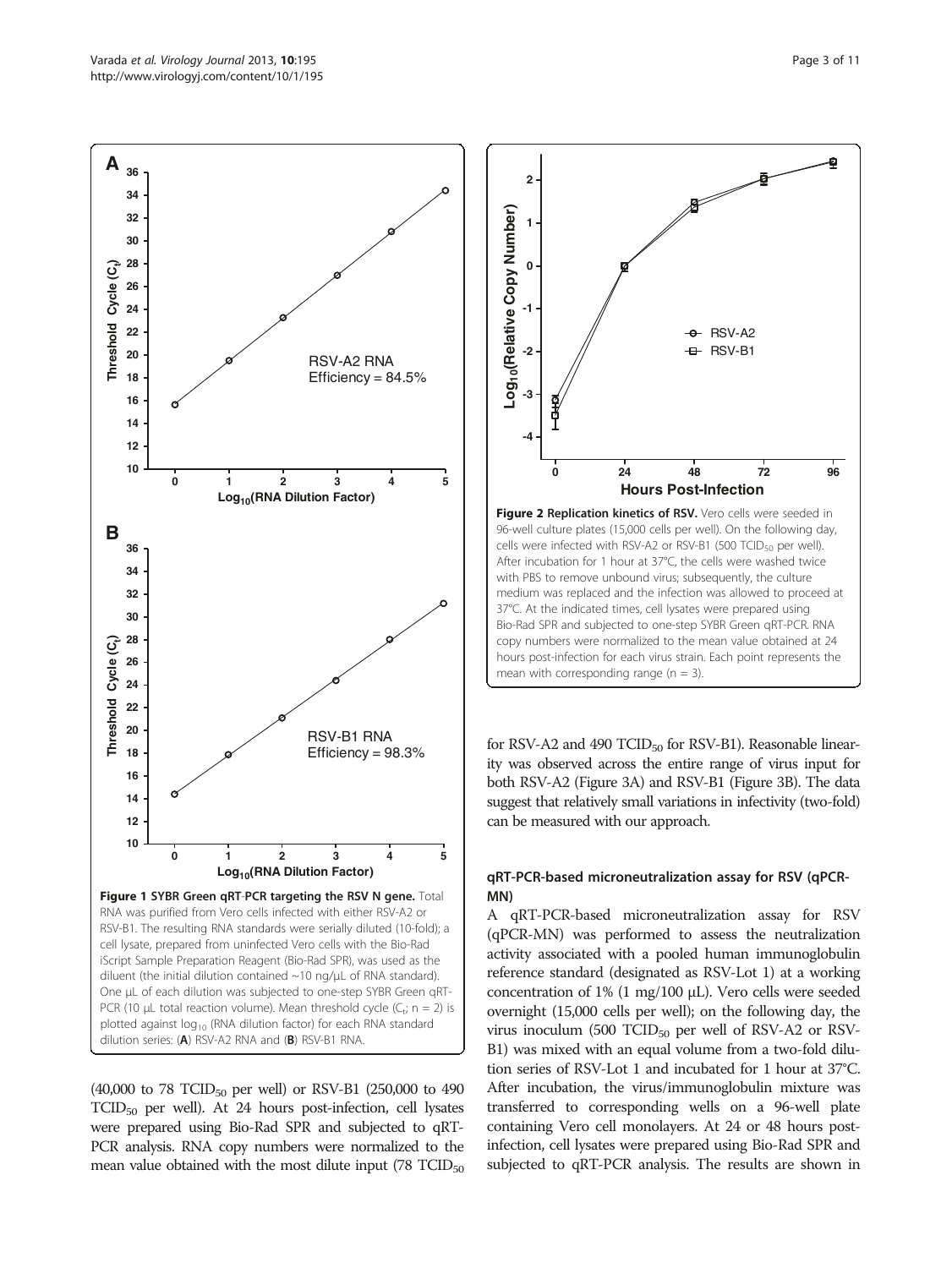<span id="page-2-0"></span>

 $(40,000 \text{ to } 78 \text{ TCID}_{50} \text{ per well}) \text{ or } RSV-B1 (250,000 \text{ to } 490$  $TCID<sub>50</sub>$  per well). At 24 hours post-infection, cell lysates were prepared using Bio-Rad SPR and subjected to qRT-PCR analysis. RNA copy numbers were normalized to the mean value obtained with the most dilute input  $(78$  TCID<sub>50</sub>



for RSV-A2 and 490 TCID<sub>50</sub> for RSV-B1). Reasonable linearity was observed across the entire range of virus input for both RSV-A2 (Figure [3A](#page-3-0)) and RSV-B1 (Figure [3B](#page-3-0)). The data suggest that relatively small variations in infectivity (two-fold) can be measured with our approach.

## qRT-PCR-based microneutralization assay for RSV (qPCR-MN)

A qRT-PCR-based microneutralization assay for RSV (qPCR-MN) was performed to assess the neutralization activity associated with a pooled human immunoglobulin reference standard (designated as RSV-Lot 1) at a working concentration of 1% (1 mg/100 μL). Vero cells were seeded overnight (15,000 cells per well); on the following day, the virus inoculum (500 TCID $_{50}$  per well of RSV-A2 or RSV-B1) was mixed with an equal volume from a two-fold dilution series of RSV-Lot 1 and incubated for 1 hour at 37°C. After incubation, the virus/immunoglobulin mixture was transferred to corresponding wells on a 96-well plate containing Vero cell monolayers. At 24 or 48 hours postinfection, cell lysates were prepared using Bio-Rad SPR and subjected to qRT-PCR analysis. The results are shown in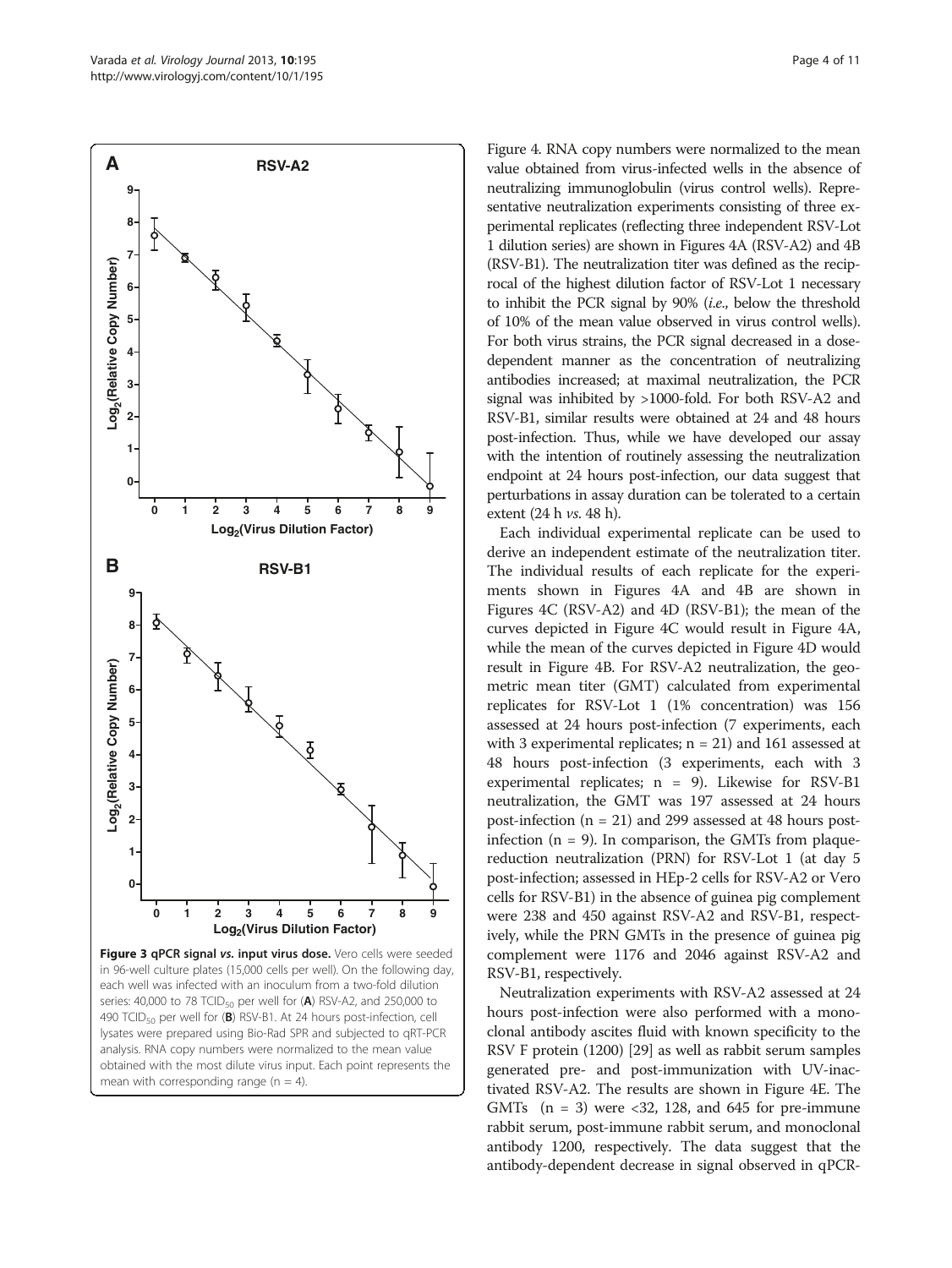<span id="page-3-0"></span>

in 96-well culture plates (15,000 cells per well). On the following day, each well was infected with an inoculum from a two-fold dilution series: 40,000 to 78 TCID $_{50}$  per well for (A) RSV-A2, and 250,000 to 490 TCID<sub>50</sub> per well for (B) RSV-B1. At 24 hours post-infection, cell lysates were prepared using Bio-Rad SPR and subjected to qRT-PCR analysis. RNA copy numbers were normalized to the mean value obtained with the most dilute virus input. Each point represents the mean with corresponding range ( $n = 4$ ).

Figure [4.](#page-4-0) RNA copy numbers were normalized to the mean value obtained from virus-infected wells in the absence of neutralizing immunoglobulin (virus control wells). Representative neutralization experiments consisting of three experimental replicates (reflecting three independent RSV-Lot 1 dilution series) are shown in Figures [4A](#page-4-0) (RSV-A2) and [4B](#page-4-0) (RSV-B1). The neutralization titer was defined as the reciprocal of the highest dilution factor of RSV-Lot 1 necessary to inhibit the PCR signal by 90% (i.e., below the threshold of 10% of the mean value observed in virus control wells). For both virus strains, the PCR signal decreased in a dosedependent manner as the concentration of neutralizing antibodies increased; at maximal neutralization, the PCR signal was inhibited by >1000-fold. For both RSV-A2 and RSV-B1, similar results were obtained at 24 and 48 hours post-infection. Thus, while we have developed our assay with the intention of routinely assessing the neutralization endpoint at 24 hours post-infection, our data suggest that perturbations in assay duration can be tolerated to a certain extent (24 h vs. 48 h).

Each individual experimental replicate can be used to derive an independent estimate of the neutralization titer. The individual results of each replicate for the experiments shown in Figures [4](#page-4-0)A and [4B](#page-4-0) are shown in Figures [4](#page-4-0)C (RSV-A2) and [4](#page-4-0)D (RSV-B1); the mean of the curves depicted in Figure [4](#page-4-0)C would result in Figure [4](#page-4-0)A, while the mean of the curves depicted in Figure [4](#page-4-0)D would result in Figure [4](#page-4-0)B. For RSV-A2 neutralization, the geometric mean titer (GMT) calculated from experimental replicates for RSV-Lot 1 (1% concentration) was 156 assessed at 24 hours post-infection (7 experiments, each with 3 experimental replicates;  $n = 21$ ) and 161 assessed at 48 hours post-infection (3 experiments, each with 3 experimental replicates;  $n = 9$ ). Likewise for RSV-B1 neutralization, the GMT was 197 assessed at 24 hours post-infection (n = 21) and 299 assessed at 48 hours postinfection  $(n = 9)$ . In comparison, the GMTs from plaquereduction neutralization (PRN) for RSV-Lot 1 (at day 5 post-infection; assessed in HEp-2 cells for RSV-A2 or Vero cells for RSV-B1) in the absence of guinea pig complement were 238 and 450 against RSV-A2 and RSV-B1, respectively, while the PRN GMTs in the presence of guinea pig complement were 1176 and 2046 against RSV-A2 and RSV-B1, respectively.

Neutralization experiments with RSV-A2 assessed at 24 hours post-infection were also performed with a monoclonal antibody ascites fluid with known specificity to the RSV F protein (1200) [\[29\]](#page-10-0) as well as rabbit serum samples generated pre- and post-immunization with UV-inactivated RSV-A2. The results are shown in Figure [4E](#page-4-0). The GMTs  $(n = 3)$  were <32, 128, and 645 for pre-immune rabbit serum, post-immune rabbit serum, and monoclonal antibody 1200, respectively. The data suggest that the antibody-dependent decrease in signal observed in qPCR-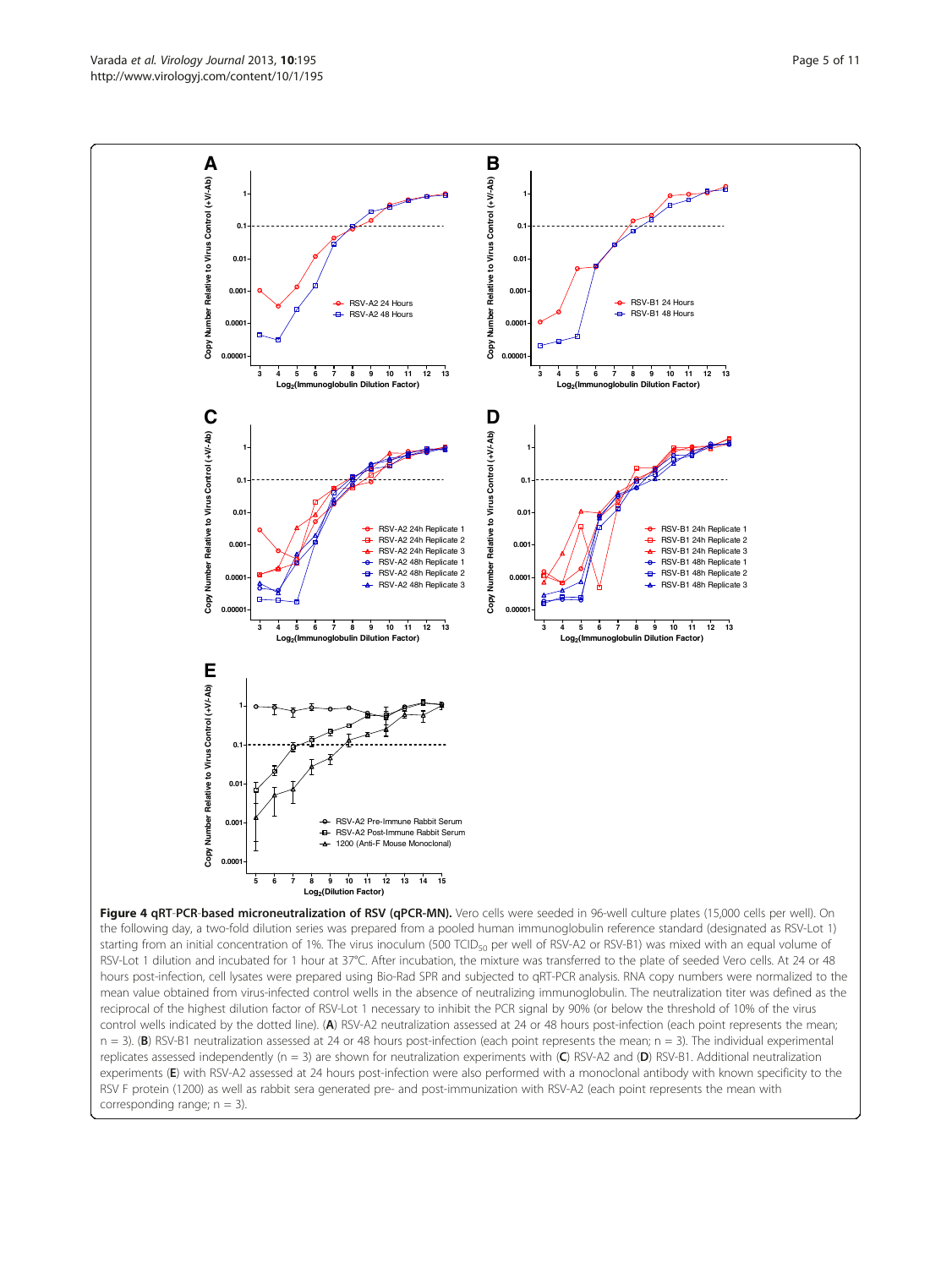<span id="page-4-0"></span>

replicates assessed independently (n = 3) are shown for neutralization experiments with (C) RSV-A2 and (D) RSV-B1. Additional neutralization experiments (E) with RSV-A2 assessed at 24 hours post-infection were also performed with a monoclonal antibody with known specificity to the RSV F protein (1200) as well as rabbit sera generated pre- and post-immunization with RSV-A2 (each point represents the mean with corresponding range;  $n = 3$ ).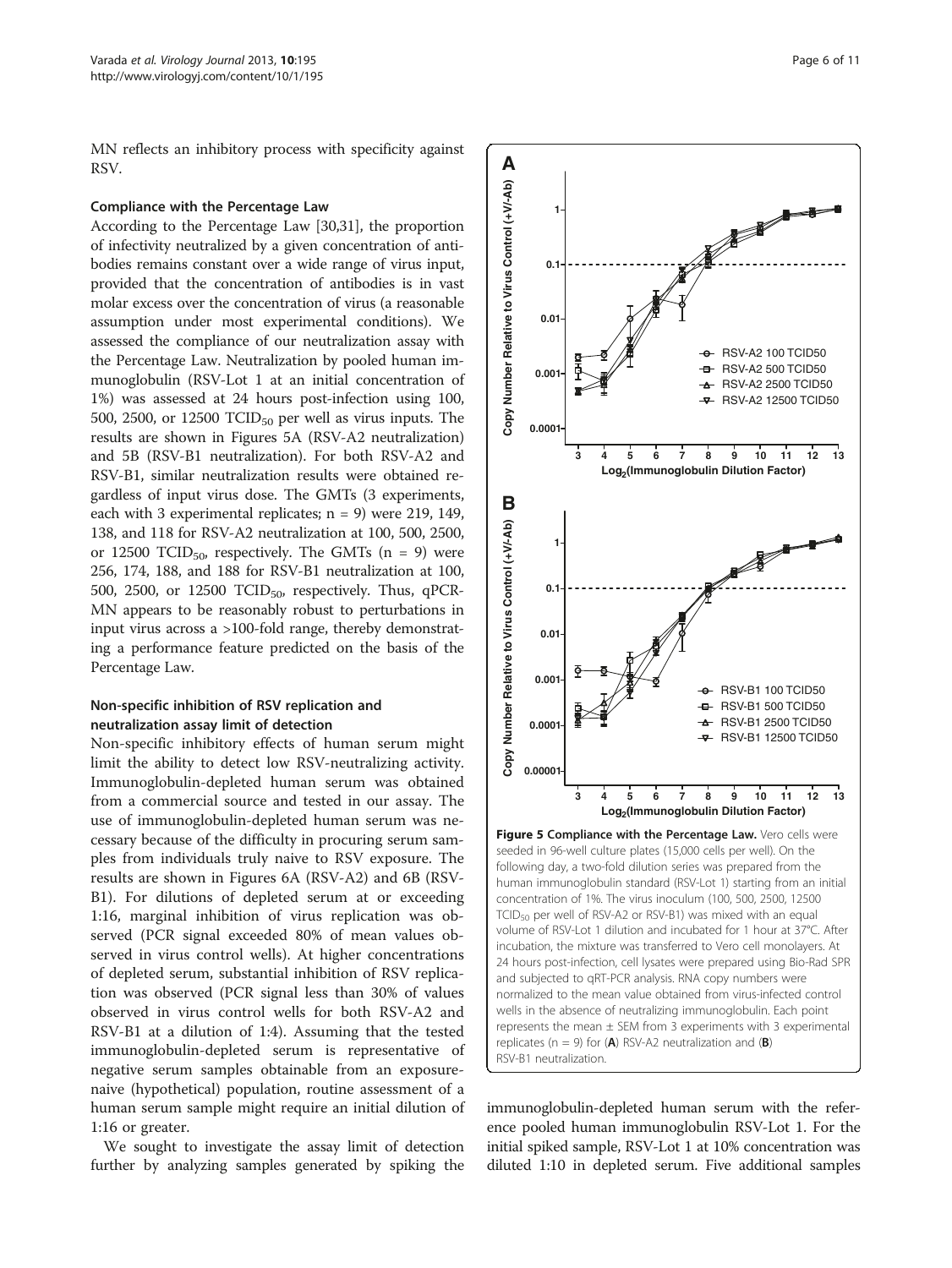<span id="page-5-0"></span>MN reflects an inhibitory process with specificity against RSV.

#### Compliance with the Percentage Law

According to the Percentage Law [[30,31](#page-10-0)], the proportion of infectivity neutralized by a given concentration of antibodies remains constant over a wide range of virus input, provided that the concentration of antibodies is in vast molar excess over the concentration of virus (a reasonable assumption under most experimental conditions). We assessed the compliance of our neutralization assay with the Percentage Law. Neutralization by pooled human immunoglobulin (RSV-Lot 1 at an initial concentration of 1%) was assessed at 24 hours post-infection using 100, 500, 2500, or 12500  $\text{TCID}_{50}$  per well as virus inputs. The results are shown in Figures 5A (RSV-A2 neutralization) and 5B (RSV-B1 neutralization). For both RSV-A2 and RSV-B1, similar neutralization results were obtained regardless of input virus dose. The GMTs (3 experiments, each with 3 experimental replicates;  $n = 9$ ) were 219, 149, 138, and 118 for RSV-A2 neutralization at 100, 500, 2500, or 12500 TCID<sub>50</sub>, respectively. The GMTs  $(n = 9)$  were 256, 174, 188, and 188 for RSV-B1 neutralization at 100, 500, 2500, or 12500 TCID<sub>50</sub>, respectively. Thus, qPCR-MN appears to be reasonably robust to perturbations in input virus across a >100-fold range, thereby demonstrating a performance feature predicted on the basis of the Percentage Law.

## Non-specific inhibition of RSV replication and neutralization assay limit of detection

Non-specific inhibitory effects of human serum might limit the ability to detect low RSV-neutralizing activity. Immunoglobulin-depleted human serum was obtained from a commercial source and tested in our assay. The use of immunoglobulin-depleted human serum was necessary because of the difficulty in procuring serum samples from individuals truly naive to RSV exposure. The results are shown in Figures [6](#page-6-0)A (RSV-A2) and [6](#page-6-0)B (RSV-B1). For dilutions of depleted serum at or exceeding 1:16, marginal inhibition of virus replication was observed (PCR signal exceeded 80% of mean values observed in virus control wells). At higher concentrations of depleted serum, substantial inhibition of RSV replication was observed (PCR signal less than 30% of values observed in virus control wells for both RSV-A2 and RSV-B1 at a dilution of 1:4). Assuming that the tested immunoglobulin-depleted serum is representative of negative serum samples obtainable from an exposurenaive (hypothetical) population, routine assessment of a human serum sample might require an initial dilution of 1:16 or greater.

We sought to investigate the assay limit of detection further by analyzing samples generated by spiking the



immunoglobulin-depleted human serum with the reference pooled human immunoglobulin RSV-Lot 1. For the initial spiked sample, RSV-Lot 1 at 10% concentration was diluted 1:10 in depleted serum. Five additional samples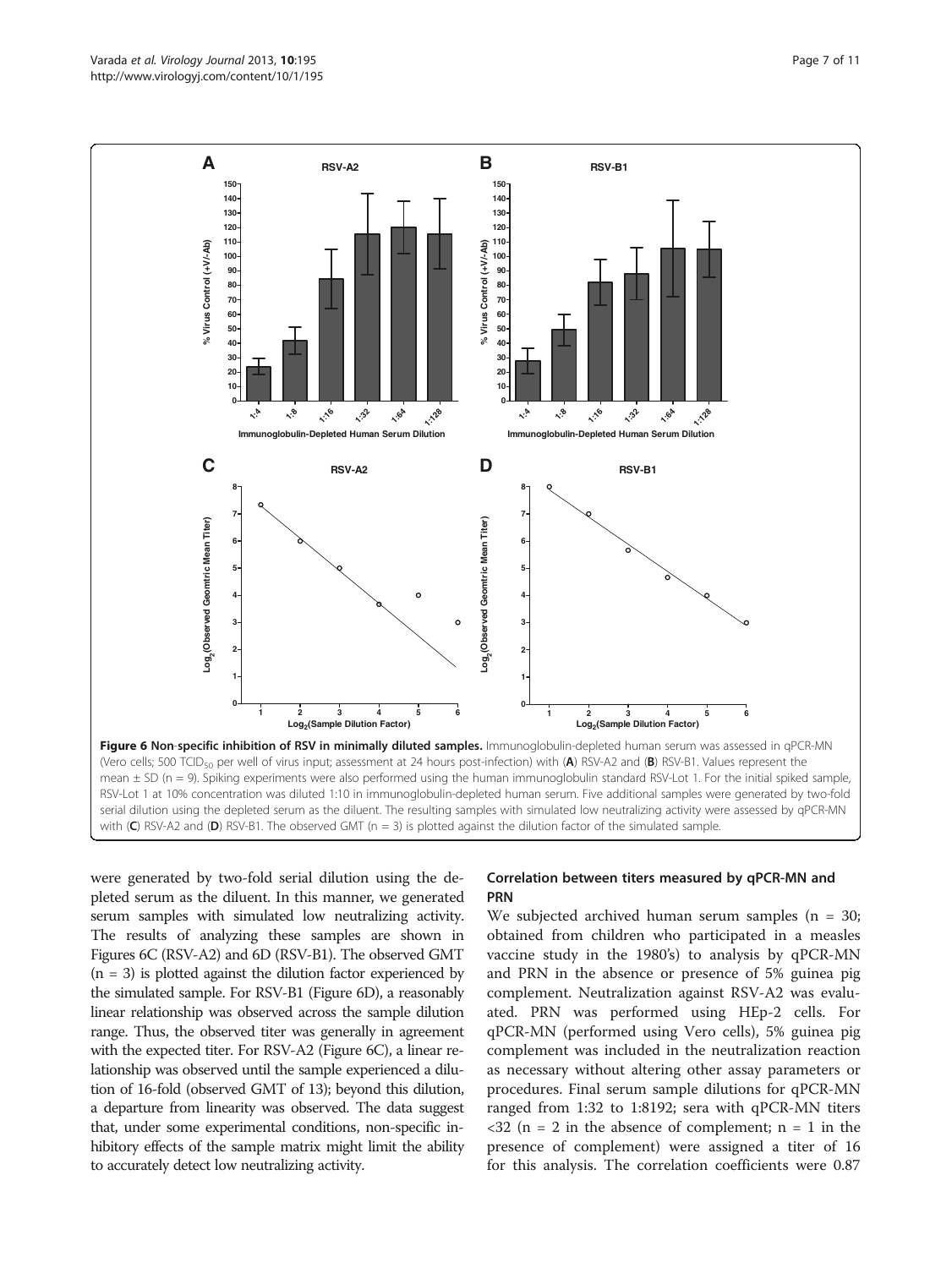<span id="page-6-0"></span>

were generated by two-fold serial dilution using the depleted serum as the diluent. In this manner, we generated serum samples with simulated low neutralizing activity. The results of analyzing these samples are shown in Figures 6C (RSV-A2) and 6D (RSV-B1). The observed GMT  $(n = 3)$  is plotted against the dilution factor experienced by the simulated sample. For RSV-B1 (Figure 6D), a reasonably linear relationship was observed across the sample dilution range. Thus, the observed titer was generally in agreement with the expected titer. For RSV-A2 (Figure 6C), a linear relationship was observed until the sample experienced a dilution of 16-fold (observed GMT of 13); beyond this dilution, a departure from linearity was observed. The data suggest that, under some experimental conditions, non-specific inhibitory effects of the sample matrix might limit the ability to accurately detect low neutralizing activity.

## Correlation between titers measured by qPCR-MN and PRN

We subjected archived human serum samples  $(n = 30;$ obtained from children who participated in a measles vaccine study in the 1980's) to analysis by qPCR-MN and PRN in the absence or presence of 5% guinea pig complement. Neutralization against RSV-A2 was evaluated. PRN was performed using HEp-2 cells. For qPCR-MN (performed using Vero cells), 5% guinea pig complement was included in the neutralization reaction as necessary without altering other assay parameters or procedures. Final serum sample dilutions for qPCR-MN ranged from 1:32 to 1:8192; sera with qPCR-MN titers  $\langle 32 \rangle$  (n = 2 in the absence of complement; n = 1 in the presence of complement) were assigned a titer of 16 for this analysis. The correlation coefficients were 0.87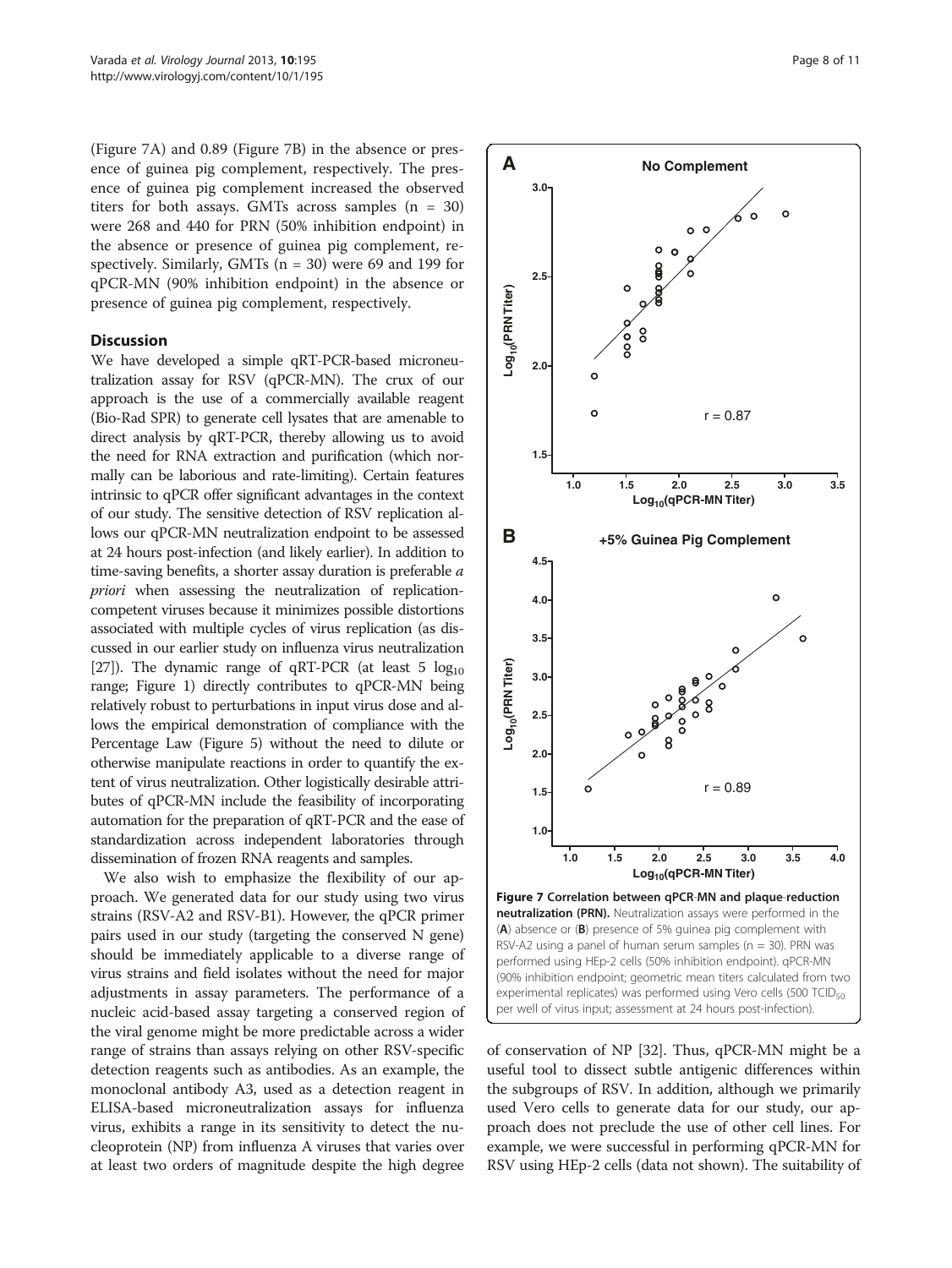(Figure 7A) and 0.89 (Figure 7B) in the absence or presence of guinea pig complement, respectively. The presence of guinea pig complement increased the observed titers for both assays. GMTs across samples  $(n = 30)$ were 268 and 440 for PRN (50% inhibition endpoint) in the absence or presence of guinea pig complement, respectively. Similarly, GMTs  $(n = 30)$  were 69 and 199 for qPCR-MN (90% inhibition endpoint) in the absence or presence of guinea pig complement, respectively.

#### **Discussion**

We have developed a simple qRT-PCR-based microneutralization assay for RSV (qPCR-MN). The crux of our approach is the use of a commercially available reagent (Bio-Rad SPR) to generate cell lysates that are amenable to direct analysis by qRT-PCR, thereby allowing us to avoid the need for RNA extraction and purification (which normally can be laborious and rate-limiting). Certain features intrinsic to qPCR offer significant advantages in the context of our study. The sensitive detection of RSV replication allows our qPCR-MN neutralization endpoint to be assessed at 24 hours post-infection (and likely earlier). In addition to time-saving benefits, a shorter assay duration is preferable a priori when assessing the neutralization of replicationcompetent viruses because it minimizes possible distortions associated with multiple cycles of virus replication (as discussed in our earlier study on influenza virus neutralization [[27](#page-10-0)]). The dynamic range of qRT-PCR (at least 5  $log_{10}$ ) range; Figure [1](#page-2-0)) directly contributes to qPCR-MN being relatively robust to perturbations in input virus dose and allows the empirical demonstration of compliance with the Percentage Law (Figure [5](#page-5-0)) without the need to dilute or otherwise manipulate reactions in order to quantify the extent of virus neutralization. Other logistically desirable attributes of qPCR-MN include the feasibility of incorporating automation for the preparation of qRT-PCR and the ease of standardization across independent laboratories through dissemination of frozen RNA reagents and samples.

We also wish to emphasize the flexibility of our approach. We generated data for our study using two virus strains (RSV-A2 and RSV-B1). However, the qPCR primer pairs used in our study (targeting the conserved N gene) should be immediately applicable to a diverse range of virus strains and field isolates without the need for major adjustments in assay parameters. The performance of a nucleic acid-based assay targeting a conserved region of the viral genome might be more predictable across a wider range of strains than assays relying on other RSV-specific detection reagents such as antibodies. As an example, the monoclonal antibody A3, used as a detection reagent in ELISA-based microneutralization assays for influenza virus, exhibits a range in its sensitivity to detect the nucleoprotein (NP) from influenza A viruses that varies over at least two orders of magnitude despite the high degree



of conservation of NP [\[32\]](#page-10-0). Thus, qPCR-MN might be a useful tool to dissect subtle antigenic differences within the subgroups of RSV. In addition, although we primarily used Vero cells to generate data for our study, our approach does not preclude the use of other cell lines. For example, we were successful in performing qPCR-MN for RSV using HEp-2 cells (data not shown). The suitability of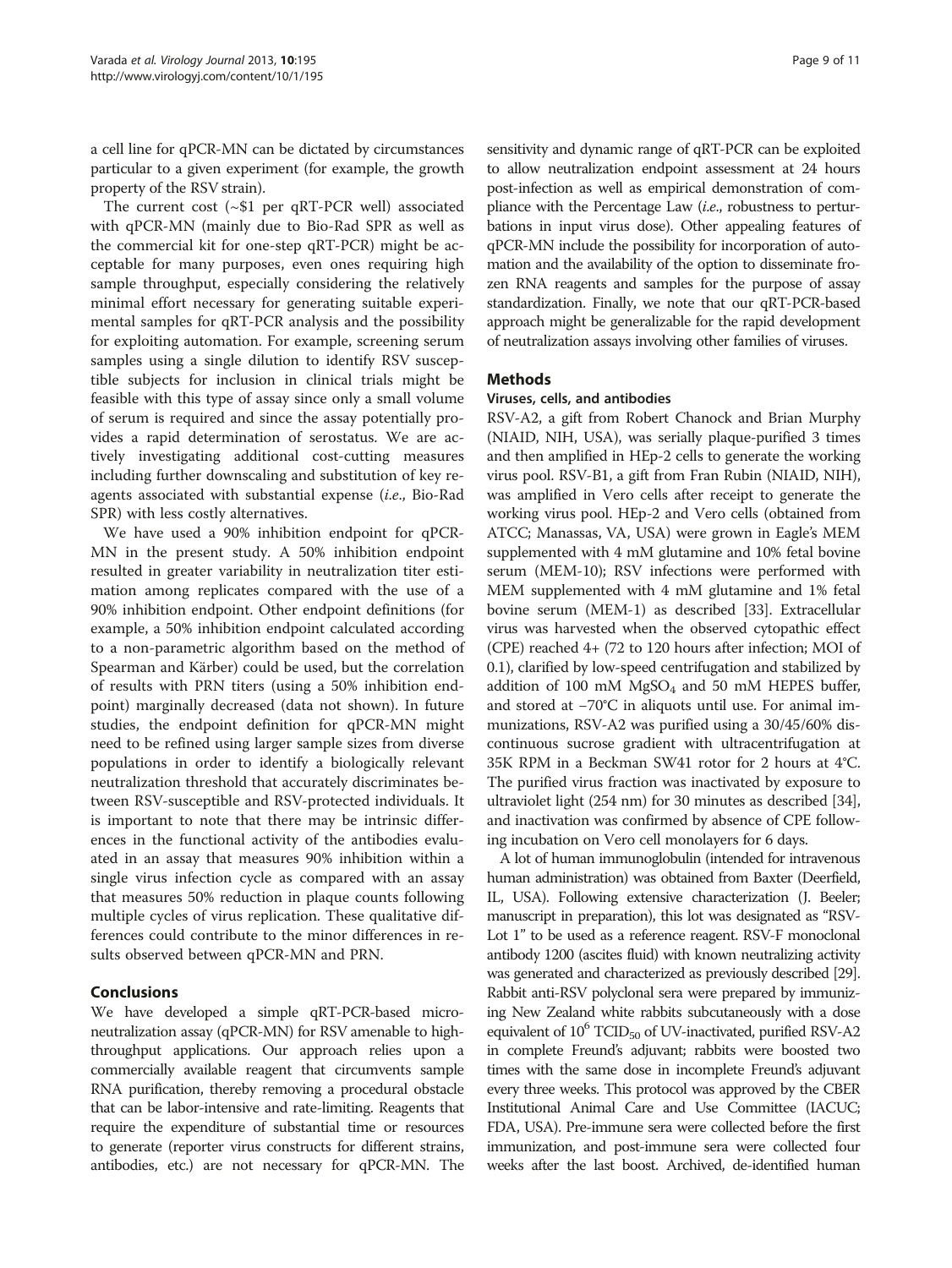a cell line for qPCR-MN can be dictated by circumstances particular to a given experiment (for example, the growth property of the RSV strain).

The current cost (~\$1 per qRT-PCR well) associated with qPCR-MN (mainly due to Bio-Rad SPR as well as the commercial kit for one-step qRT-PCR) might be acceptable for many purposes, even ones requiring high sample throughput, especially considering the relatively minimal effort necessary for generating suitable experimental samples for qRT-PCR analysis and the possibility for exploiting automation. For example, screening serum samples using a single dilution to identify RSV susceptible subjects for inclusion in clinical trials might be feasible with this type of assay since only a small volume of serum is required and since the assay potentially provides a rapid determination of serostatus. We are actively investigating additional cost-cutting measures including further downscaling and substitution of key reagents associated with substantial expense (i.e., Bio-Rad SPR) with less costly alternatives.

We have used a 90% inhibition endpoint for qPCR-MN in the present study. A 50% inhibition endpoint resulted in greater variability in neutralization titer estimation among replicates compared with the use of a 90% inhibition endpoint. Other endpoint definitions (for example, a 50% inhibition endpoint calculated according to a non-parametric algorithm based on the method of Spearman and Kärber) could be used, but the correlation of results with PRN titers (using a 50% inhibition endpoint) marginally decreased (data not shown). In future studies, the endpoint definition for qPCR-MN might need to be refined using larger sample sizes from diverse populations in order to identify a biologically relevant neutralization threshold that accurately discriminates between RSV-susceptible and RSV-protected individuals. It is important to note that there may be intrinsic differences in the functional activity of the antibodies evaluated in an assay that measures 90% inhibition within a single virus infection cycle as compared with an assay that measures 50% reduction in plaque counts following multiple cycles of virus replication. These qualitative differences could contribute to the minor differences in results observed between qPCR-MN and PRN.

## **Conclusions**

We have developed a simple qRT-PCR-based microneutralization assay (qPCR-MN) for RSV amenable to highthroughput applications. Our approach relies upon a commercially available reagent that circumvents sample RNA purification, thereby removing a procedural obstacle that can be labor-intensive and rate-limiting. Reagents that require the expenditure of substantial time or resources to generate (reporter virus constructs for different strains, antibodies, etc.) are not necessary for qPCR-MN. The

sensitivity and dynamic range of qRT-PCR can be exploited to allow neutralization endpoint assessment at 24 hours post-infection as well as empirical demonstration of compliance with the Percentage Law (i.e., robustness to perturbations in input virus dose). Other appealing features of qPCR-MN include the possibility for incorporation of automation and the availability of the option to disseminate frozen RNA reagents and samples for the purpose of assay standardization. Finally, we note that our qRT-PCR-based approach might be generalizable for the rapid development of neutralization assays involving other families of viruses.

## Methods

## Viruses, cells, and antibodies

RSV-A2, a gift from Robert Chanock and Brian Murphy (NIAID, NIH, USA), was serially plaque-purified 3 times and then amplified in HEp-2 cells to generate the working virus pool. RSV-B1, a gift from Fran Rubin (NIAID, NIH), was amplified in Vero cells after receipt to generate the working virus pool. HEp-2 and Vero cells (obtained from ATCC; Manassas, VA, USA) were grown in Eagle's MEM supplemented with 4 mM glutamine and 10% fetal bovine serum (MEM-10); RSV infections were performed with MEM supplemented with 4 mM glutamine and 1% fetal bovine serum (MEM-1) as described [[33](#page-10-0)]. Extracellular virus was harvested when the observed cytopathic effect (CPE) reached 4+ (72 to 120 hours after infection; MOI of 0.1), clarified by low-speed centrifugation and stabilized by addition of 100 mM  $MgSO<sub>4</sub>$  and 50 mM HEPES buffer, and stored at −70°C in aliquots until use. For animal immunizations, RSV-A2 was purified using a 30/45/60% discontinuous sucrose gradient with ultracentrifugation at 35K RPM in a Beckman SW41 rotor for 2 hours at 4°C. The purified virus fraction was inactivated by exposure to ultraviolet light (254 nm) for 30 minutes as described [[34](#page-10-0)], and inactivation was confirmed by absence of CPE following incubation on Vero cell monolayers for 6 days.

A lot of human immunoglobulin (intended for intravenous human administration) was obtained from Baxter (Deerfield, IL, USA). Following extensive characterization (J. Beeler; manuscript in preparation), this lot was designated as "RSV-Lot 1" to be used as a reference reagent. RSV-F monoclonal antibody 1200 (ascites fluid) with known neutralizing activity was generated and characterized as previously described [\[29\]](#page-10-0). Rabbit anti-RSV polyclonal sera were prepared by immunizing New Zealand white rabbits subcutaneously with a dose equivalent of  $10^6$  TCID<sub>50</sub> of UV-inactivated, purified RSV-A2 in complete Freund's adjuvant; rabbits were boosted two times with the same dose in incomplete Freund's adjuvant every three weeks. This protocol was approved by the CBER Institutional Animal Care and Use Committee (IACUC; FDA, USA). Pre-immune sera were collected before the first immunization, and post-immune sera were collected four weeks after the last boost. Archived, de-identified human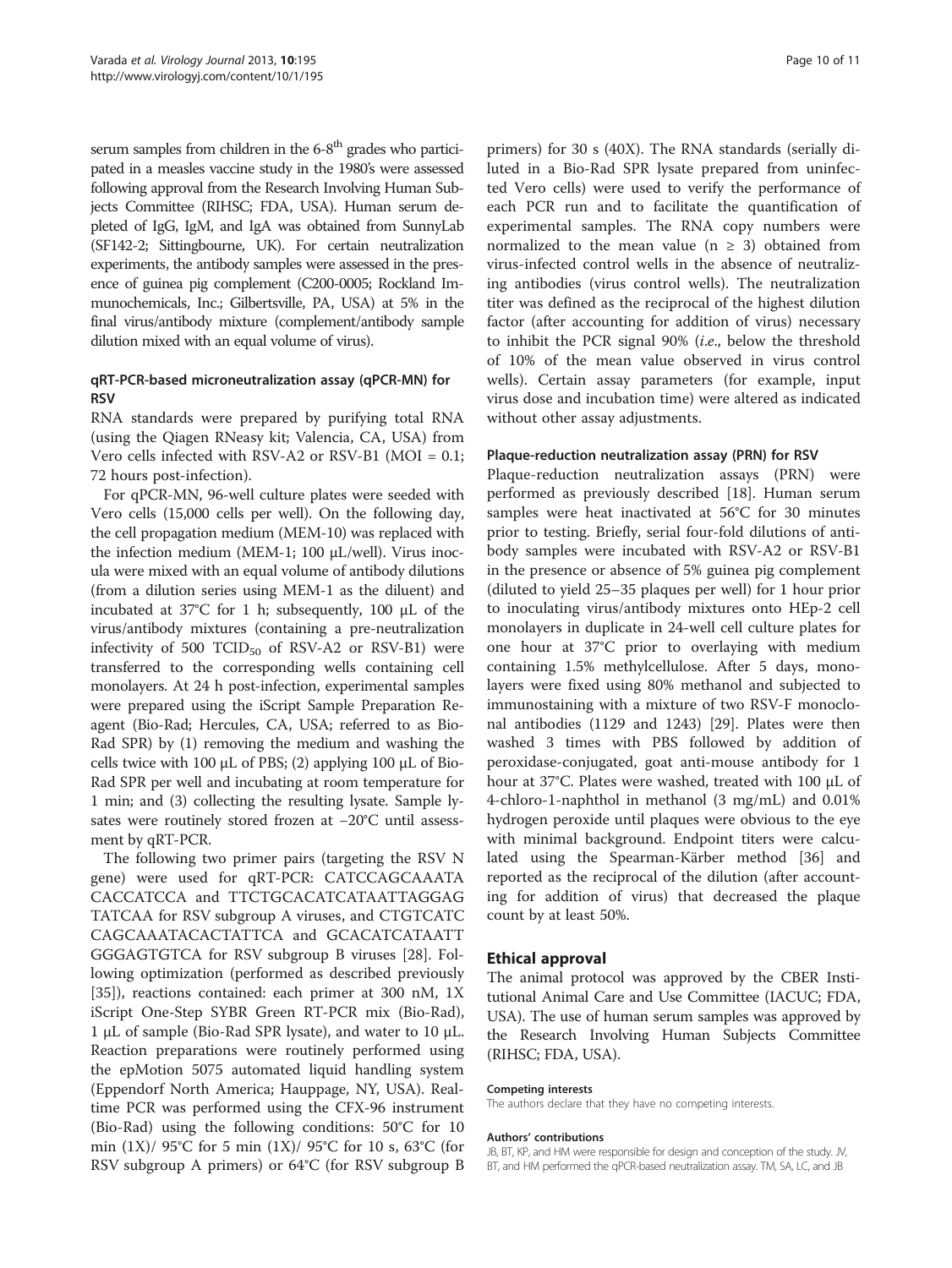serum samples from children in the  $6-8<sup>th</sup>$  grades who participated in a measles vaccine study in the 1980's were assessed following approval from the Research Involving Human Subjects Committee (RIHSC; FDA, USA). Human serum depleted of IgG, IgM, and IgA was obtained from SunnyLab (SF142-2; Sittingbourne, UK). For certain neutralization experiments, the antibody samples were assessed in the presence of guinea pig complement (C200-0005; Rockland Immunochemicals, Inc.; Gilbertsville, PA, USA) at 5% in the final virus/antibody mixture (complement/antibody sample dilution mixed with an equal volume of virus).

## qRT-PCR-based microneutralization assay (qPCR-MN) for **RSV**

RNA standards were prepared by purifying total RNA (using the Qiagen RNeasy kit; Valencia, CA, USA) from Vero cells infected with RSV-A2 or RSV-B1 (MOI = 0.1; 72 hours post-infection).

For qPCR-MN, 96-well culture plates were seeded with Vero cells (15,000 cells per well). On the following day, the cell propagation medium (MEM-10) was replaced with the infection medium (MEM-1; 100 μL/well). Virus inocula were mixed with an equal volume of antibody dilutions (from a dilution series using MEM-1 as the diluent) and incubated at 37°C for 1 h; subsequently, 100 μL of the virus/antibody mixtures (containing a pre-neutralization infectivity of 500 TCID $_{50}$  of RSV-A2 or RSV-B1) were transferred to the corresponding wells containing cell monolayers. At 24 h post-infection, experimental samples were prepared using the iScript Sample Preparation Reagent (Bio-Rad; Hercules, CA, USA; referred to as Bio-Rad SPR) by (1) removing the medium and washing the cells twice with 100 μL of PBS; (2) applying 100 μL of Bio-Rad SPR per well and incubating at room temperature for 1 min; and (3) collecting the resulting lysate. Sample lysates were routinely stored frozen at −20°C until assessment by qRT-PCR.

The following two primer pairs (targeting the RSV N gene) were used for qRT-PCR: CATCCAGCAAATA CACCATCCA and TTCTGCACATCATAATTAGGAG TATCAA for RSV subgroup A viruses, and CTGTCATC CAGCAAATACACTATTCA and GCACATCATAATT GGGAGTGTCA for RSV subgroup B viruses [\[28\]](#page-10-0). Following optimization (performed as described previously [[35\]](#page-10-0)), reactions contained: each primer at 300 nM, 1X iScript One-Step SYBR Green RT-PCR mix (Bio-Rad), 1 μL of sample (Bio-Rad SPR lysate), and water to 10 μL. Reaction preparations were routinely performed using the epMotion 5075 automated liquid handling system (Eppendorf North America; Hauppage, NY, USA). Realtime PCR was performed using the CFX-96 instrument (Bio-Rad) using the following conditions: 50°C for 10 min  $(1X)/95^{\circ}$ C for 5 min  $(1X)/95^{\circ}$ C for 10 s, 63<sup>°</sup>C (for RSV subgroup A primers) or 64°C (for RSV subgroup B

primers) for 30 s (40X). The RNA standards (serially diluted in a Bio-Rad SPR lysate prepared from uninfected Vero cells) were used to verify the performance of each PCR run and to facilitate the quantification of experimental samples. The RNA copy numbers were normalized to the mean value ( $n \geq 3$ ) obtained from virus-infected control wells in the absence of neutralizing antibodies (virus control wells). The neutralization titer was defined as the reciprocal of the highest dilution factor (after accounting for addition of virus) necessary to inhibit the PCR signal 90% (i.e., below the threshold of 10% of the mean value observed in virus control wells). Certain assay parameters (for example, input virus dose and incubation time) were altered as indicated without other assay adjustments.

#### Plaque-reduction neutralization assay (PRN) for RSV

Plaque-reduction neutralization assays (PRN) were performed as previously described [[18\]](#page-10-0). Human serum samples were heat inactivated at 56°C for 30 minutes prior to testing. Briefly, serial four-fold dilutions of antibody samples were incubated with RSV-A2 or RSV-B1 in the presence or absence of 5% guinea pig complement (diluted to yield 25–35 plaques per well) for 1 hour prior to inoculating virus/antibody mixtures onto HEp-2 cell monolayers in duplicate in 24-well cell culture plates for one hour at 37°C prior to overlaying with medium containing 1.5% methylcellulose. After 5 days, monolayers were fixed using 80% methanol and subjected to immunostaining with a mixture of two RSV-F monoclonal antibodies (1129 and 1243) [\[29](#page-10-0)]. Plates were then washed 3 times with PBS followed by addition of peroxidase-conjugated, goat anti-mouse antibody for 1 hour at 37°C. Plates were washed, treated with 100 μL of 4-chloro-1-naphthol in methanol (3 mg/mL) and 0.01% hydrogen peroxide until plaques were obvious to the eye with minimal background. Endpoint titers were calculated using the Spearman-Kärber method [\[36\]](#page-10-0) and reported as the reciprocal of the dilution (after accounting for addition of virus) that decreased the plaque count by at least 50%.

## Ethical approval

The animal protocol was approved by the CBER Institutional Animal Care and Use Committee (IACUC; FDA, USA). The use of human serum samples was approved by the Research Involving Human Subjects Committee (RIHSC; FDA, USA).

#### Competing interests

The authors declare that they have no competing interests.

#### Authors' contributions

JB, BT, KP, and HM were responsible for design and conception of the study. JV, BT, and HM performed the qPCR-based neutralization assay. TM, SA, LC, and JB